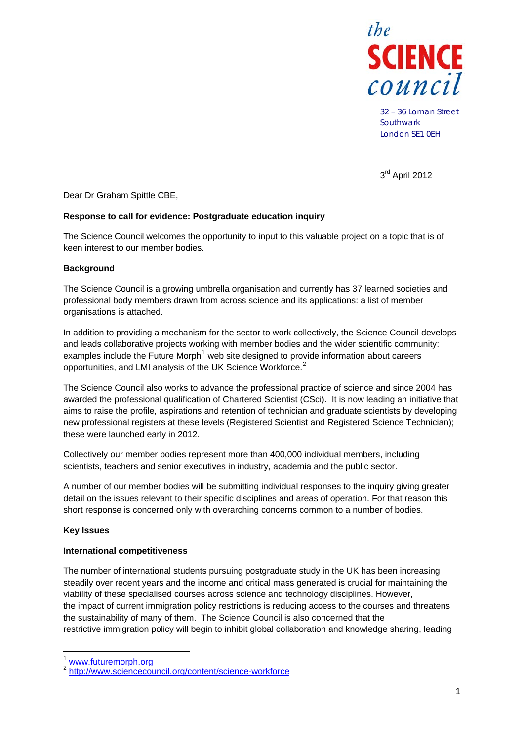

32 – 36 Loman Street **Southwark** London SE1 0EH

3rd April 2012

Dear Dr Graham Spittle CBE,

## **Response to call for evidence: Postgraduate education inquiry**

The Science Council welcomes the opportunity to input to this valuable project on a topic that is of keen interest to our member bodies.

## **Background**

The Science Council is a growing umbrella organisation and currently has 37 learned societies and professional body members drawn from across science and its applications: a list of member organisations is attached.

In addition to providing a mechanism for the sector to work collectively, the Science Council develops and leads collaborative projects working with member bodies and the wider scientific community: examples include the Future Morph<sup>[1](#page-0-0)</sup> web site designed to provide information about careers opportunities, and LMI analysis of the UK Science Workforce.<sup>[2](#page-0-1)</sup>

The Science Council also works to advance the professional practice of science and since 2004 has awarded the professional qualification of Chartered Scientist (CSci). It is now leading an initiative that aims to raise the profile, aspirations and retention of technician and graduate scientists by developing new professional registers at these levels (Registered Scientist and Registered Science Technician); these were launched early in 2012.

Collectively our member bodies represent more than 400,000 individual members, including scientists, teachers and senior executives in industry, academia and the public sector.

A number of our member bodies will be submitting individual responses to the inquiry giving greater detail on the issues relevant to their specific disciplines and areas of operation. For that reason this short response is concerned only with overarching concerns common to a number of bodies.

#### **Key Issues**

#### **International competitiveness**

The number of international students pursuing postgraduate study in the UK has been increasing steadily over recent years and the income and critical mass generated is crucial for maintaining the viability of these specialised courses across science and technology disciplines. However, the impact of current immigration policy restrictions is reducing access to the courses and threatens the sustainability of many of them. The Science Council is also concerned that the restrictive immigration policy will begin to inhibit global collaboration and knowledge sharing, leading

<span id="page-0-1"></span><span id="page-0-0"></span><sup>&</sup>lt;sup>1</sup> [www.futuremorph.org](http://www.futuremorph.org/)<br><sup>2</sup> <http://www.sciencecouncil.org/content/science-workforce>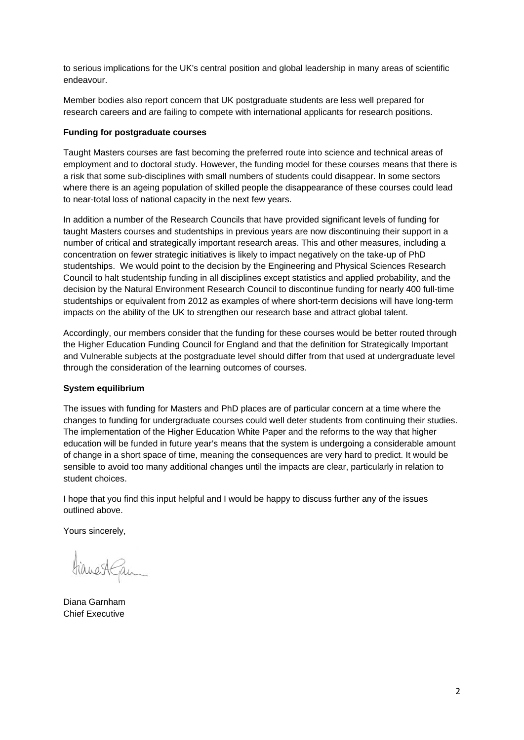to serious implications for the UK's central position and global leadership in many areas of scientific endeavour.

Member bodies also report concern that UK postgraduate students are less well prepared for research careers and are failing to compete with international applicants for research positions.

## **Funding for postgraduate courses**

Taught Masters courses are fast becoming the preferred route into science and technical areas of employment and to doctoral study. However, the funding model for these courses means that there is a risk that some sub-disciplines with small numbers of students could disappear. In some sectors where there is an ageing population of skilled people the disappearance of these courses could lead to near-total loss of national capacity in the next few years.

In addition a number of the Research Councils that have provided significant levels of funding for taught Masters courses and studentships in previous years are now discontinuing their support in a number of critical and strategically important research areas. This and other measures, including a concentration on fewer strategic initiatives is likely to impact negatively on the take-up of PhD studentships. We would point to the decision by the Engineering and Physical Sciences Research Council to halt studentship funding in all disciplines except statistics and applied probability, and the decision by the Natural Environment Research Council to discontinue funding for nearly 400 full-time studentships or equivalent from 2012 as examples of where short-term decisions will have long-term impacts on the ability of the UK to strengthen our research base and attract global talent.

Accordingly, our members consider that the funding for these courses would be better routed through the Higher Education Funding Council for England and that the definition for Strategically Important and Vulnerable subjects at the postgraduate level should differ from that used at undergraduate level through the consideration of the learning outcomes of courses.

# **System equilibrium**

The issues with funding for Masters and PhD places are of particular concern at a time where the changes to funding for undergraduate courses could well deter students from continuing their studies. The implementation of the Higher Education White Paper and the reforms to the way that higher education will be funded in future year's means that the system is undergoing a considerable amount of change in a short space of time, meaning the consequences are very hard to predict. It would be sensible to avoid too many additional changes until the impacts are clear, particularly in relation to student choices.

I hope that you find this input helpful and I would be happy to discuss further any of the issues outlined above.

Yours sincerely,

HianestGam

Diana Garnham Chief Executive